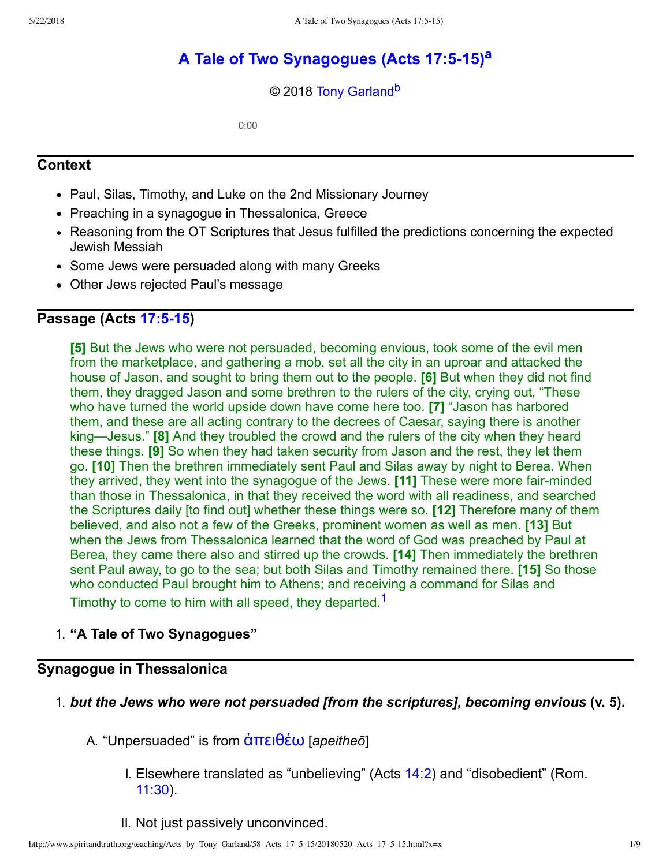# **[A Tale of Two Synagogues \(Acts 17:515\)](http://www.spiritandtruth.org/teaching/Acts_by_Tony_Garland/58_Acts_17_5-15/index.htm)[a](#page-8-0)**

#### <span id="page-0-2"></span><span id="page-0-1"></span>© 2018 [Tony Garland](http://www.spiritandtruth.org/id/tg.htm)<sup>[b](#page-8-1)</sup>

0:00

### **Context**

- Paul, Silas, Timothy, and Luke on the 2nd Missionary Journey
- Preaching in a synagogue in Thessalonica, Greece
- Reasoning from the OT Scriptures that Jesus fulfilled the predictions concerning the expected Jewish Messiah
- Some Jews were persuaded along with many Greeks
- Other Jews rejected Paul's message

## **Passage (Acts [17:515\)](http://www.spiritandtruth.org/bibles/nasb/b44c017.htm#Acts_C17V5)**

**[5]** But the Jews who were not persuaded, becoming envious, took some of the evil men from the marketplace, and gathering a mob, set all the city in an uproar and attacked the house of Jason, and sought to bring them out to the people. **[6]** But when they did not find them, they dragged Jason and some brethren to the rulers of the city, crying out, "These who have turned the world upside down have come here too. **[7]** "Jason has harbored them, and these are all acting contrary to the decrees of Caesar, saying there is another king—Jesus." **[8]** And they troubled the crowd and the rulers of the city when they heard these things. **[9]** So when they had taken security from Jason and the rest, they let them go. **[10]** Then the brethren immediately sent Paul and Silas away by night to Berea. When they arrived, they went into the synagogue of the Jews. **[11]** These were more fair-minded than those in Thessalonica, in that they received the word with all readiness, and searched the Scriptures daily [to find out] whether these things were so. **[12]** Therefore many of them believed, and also not a few of the Greeks, prominent women as well as men. **[13]** But when the Jews from Thessalonica learned that the word of God was preached by Paul at Berea, they came there also and stirred up the crowds. **[14]** Then immediately the brethren sent Paul away, to go to the sea; but both Silas and Timothy remained there. **[15]** So those who conducted Paul brought him to Athens; and receiving a command for Silas and Timothy to come to him with all speed, they departed.<sup>[1](#page-8-2)</sup>

### <span id="page-0-0"></span>1. **"A Tale of Two Synagogues"**

# **Synagogue in Thessalonica**

- 1. *but the Jews who were not persuaded [from the scriptures], becoming envious* **(v. 5).**
	- A. "Unpersuaded" is from  $\alpha$ πειθέω [*apeitheo*]
		- I. Elsewhere translated as "unbelieving" (Acts [14:2](http://www.spiritandtruth.org/bibles/nasb/b44c014.htm#Acts_C14V2)) and "disobedient" (Rom. [11:30\)](http://www.spiritandtruth.org/bibles/nasb/b45c011.htm#Rom._C11V30).
		- II. Not just passively unconvinced.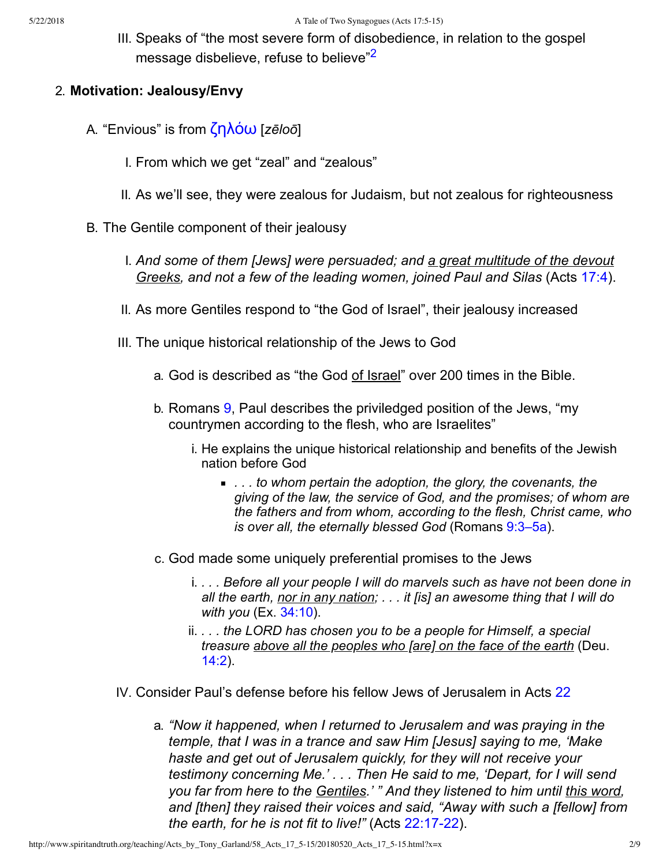<span id="page-1-0"></span>III. Speaks of "the most severe form of disobedience, in relation to the gospel message disbelieve, refuse to believe<sup>"[2](#page-8-3)</sup>

#### 2. **Motivation: Jealousy/Envy**

- A. "Envious" is from **ζηλόω** [*zēloō*]
	- I. From which we get "zeal" and "zealous"
	- II. As we'll see, they were zealous for Judaism, but not zealous for righteousness
- B. The Gentile component of their jealousy
	- I. *And some of them [Jews] were persuaded; and a great multitude of the devout Greeks, and not a few of the leading women, joined Paul and Silas* (Acts [17:4\)](http://www.spiritandtruth.org/bibles/nasb/b44c017.htm#Acts_C17V4).
	- II. As more Gentiles respond to "the God of Israel", their jealousy increased
	- III. The unique historical relationship of the Jews to God
		- a. God is described as "the God of Israel" over 200 times in the Bible.
		- b. Romans [9,](http://www.spiritandtruth.org/bibles/nasb/b45c009.htm#Rom._C9V1) Paul describes the priviledged position of the Jews, "my countrymen according to the flesh, who are Israelites"
			- i. He explains the unique historical relationship and benefits of the Jewish nation before God
				- *. . . to whom pertain the adoption, the glory, the covenants, the giving of the law, the service of God, and the promises; of whom are the fathers and from whom, according to the flesh, Christ came, who is over all, the eternally blessed God* (Romans [9:3–5a\)](http://www.spiritandtruth.org/bibles/nasb/b45c009.htm#Rom._C9V3).
		- c. God made some uniquely preferential promises to the Jews
			- i. *. . . Before all your people I will do marvels such as have not been done in all the earth, nor in any nation; . . . it [is] an awesome thing that I will do with you* (Ex. [34:10](http://www.spiritandtruth.org/bibles/nasb/b02c034.htm#Ex._C34V10)).
			- ii. *. . . the LORD has chosen you to be a people for Himself, a special treasure above all the peoples who [are] on the face of the earth* (Deu. [14:2](http://www.spiritandtruth.org/bibles/nasb/b05c014.htm#Deu._C14V2)).
	- IV. Consider Paul's defense before his fellow Jews of Jerusalem in Acts [22](http://www.spiritandtruth.org/bibles/nasb/b44c022.htm#Acts_C22V1)
		- a. *"Now it happened, when I returned to Jerusalem and was praying in the temple, that I was in a trance and saw Him [Jesus] saying to me, 'Make haste and get out of Jerusalem quickly, for they will not receive your testimony concerning Me.' . . . Then He said to me, 'Depart, for I will send you far from here to the Gentiles.' " And they listened to him until this word, and [then] they raised their voices and said, "Away with such a [fellow] from the earth, for he is not fit to live!"* (Acts 22:17-22).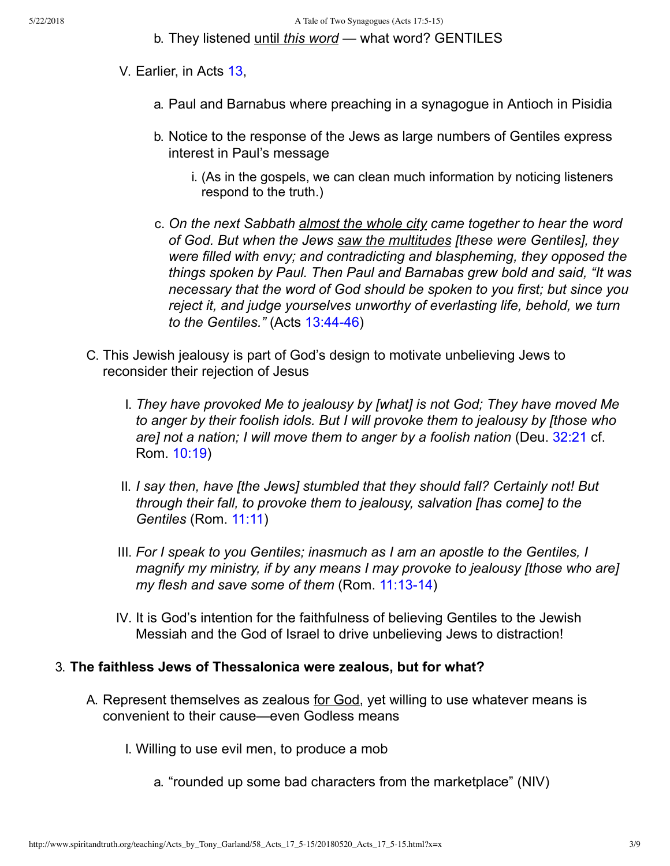#### b. They listened until *this word* — what word? GENTILES

- V. Earlier, in Acts [13](http://www.spiritandtruth.org/bibles/nasb/b44c013.htm#Acts_C13V1),
	- a. Paul and Barnabus where preaching in a synagogue in Antioch in Pisidia
	- b. Notice to the response of the Jews as large numbers of Gentiles express interest in Paul's message
		- i. (As in the gospels, we can clean much information by noticing listeners respond to the truth.)
	- c. *On the next Sabbath almost the whole city came together to hear the word of God. But when the Jews saw the multitudes [these were Gentiles], they were filled with envy; and contradicting and blaspheming, they opposed the things spoken by Paul. Then Paul and Barnabas grew bold and said, "It was necessary that the word of God should be spoken to you first; but since you reject it, and judge yourselves unworthy of everlasting life, behold, we turn to the Gentiles."* (Acts 13:44-46)
- C. This Jewish jealousy is part of God's design to motivate unbelieving Jews to reconsider their rejection of Jesus
	- I. *They have provoked Me to jealousy by [what] is not God; They have moved Me to anger by their foolish idols. But I will provoke them to jealousy by [those who are] not a nation; I will move them to anger by a foolish nation* (Deu. [32:21](http://www.spiritandtruth.org/bibles/nasb/b05c032.htm#Deu._C32V21) cf. Rom. [10:19](http://www.spiritandtruth.org/bibles/nasb/b45c010.htm#Rom._C10V19))
	- II. *I say then, have [the Jews] stumbled that they should fall? Certainly not! But through their fall, to provoke them to jealousy, salvation [has come] to the Gentiles* (Rom. [11:11](http://www.spiritandtruth.org/bibles/nasb/b45c011.htm#Rom._C11V11))
	- III. *For I speak to you Gentiles; inasmuch as I am an apostle to the Gentiles, I magnify my ministry, if by any means I may provoke to jealousy [those who are] my flesh and save some of them* (Rom. 11:13-14)
	- IV. It is God's intention for the faithfulness of believing Gentiles to the Jewish Messiah and the God of Israel to drive unbelieving Jews to distraction!

#### 3. **The faithless Jews of Thessalonica were zealous, but for what?**

- A. Represent themselves as zealous for God, yet willing to use whatever means is convenient to their cause—even Godless means
	- I. Willing to use evil men, to produce a mob
		- a. "rounded up some bad characters from the marketplace" (NIV)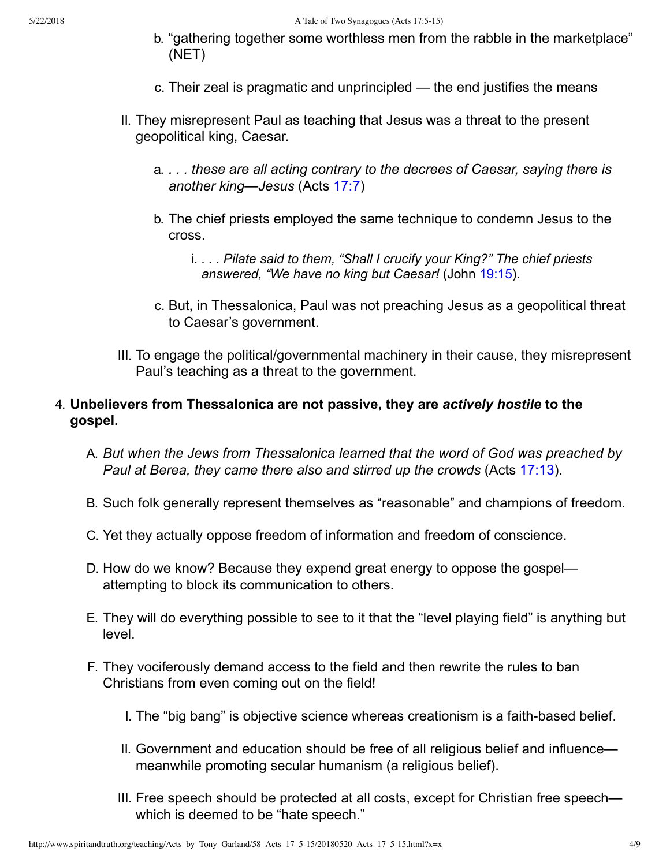- b. "gathering together some worthless men from the rabble in the marketplace" (NET)
- c. Their zeal is pragmatic and unprincipled the end justifies the means
- II. They misrepresent Paul as teaching that Jesus was a threat to the present geopolitical king, Caesar.
	- a. *. . . these are all acting contrary to the decrees of Caesar, saying there is another king—Jesus* (Acts [17:7](http://www.spiritandtruth.org/bibles/nasb/b44c017.htm#Acts_C17V7))
	- b. The chief priests employed the same technique to condemn Jesus to the cross.
		- i. *. . . Pilate said to them, "Shall I crucify your King?" The chief priests answered, "We have no king but Caesar!* (John [19:15\)](http://www.spiritandtruth.org/bibles/nasb/b43c019.htm#John_C19V15).
	- c. But, in Thessalonica, Paul was not preaching Jesus as a geopolitical threat to Caesar's government.
- III. To engage the political/governmental machinery in their cause, they misrepresent Paul's teaching as a threat to the government.

### 4. **Unbelievers from Thessalonica are not passive, they are** *actively hostile* **to the gospel.**

- A. *But when the Jews from Thessalonica learned that the word of God was preached by Paul at Berea, they came there also and stirred up the crowds* (Acts [17:13\)](http://www.spiritandtruth.org/bibles/nasb/b44c017.htm#Acts_C17V13).
- B. Such folk generally represent themselves as "reasonable" and champions of freedom.
- C. Yet they actually oppose freedom of information and freedom of conscience.
- D. How do we know? Because they expend great energy to oppose the gospel attempting to block its communication to others.
- E. They will do everything possible to see to it that the "level playing field" is anything but level.
- F. They vociferously demand access to the field and then rewrite the rules to ban Christians from even coming out on the field!
	- I. The "big bang" is objective science whereas creationism is a faith-based belief.
	- II. Government and education should be free of all religious belief and influence meanwhile promoting secular humanism (a religious belief).
	- III. Free speech should be protected at all costs, except for Christian free speech which is deemed to be "hate speech."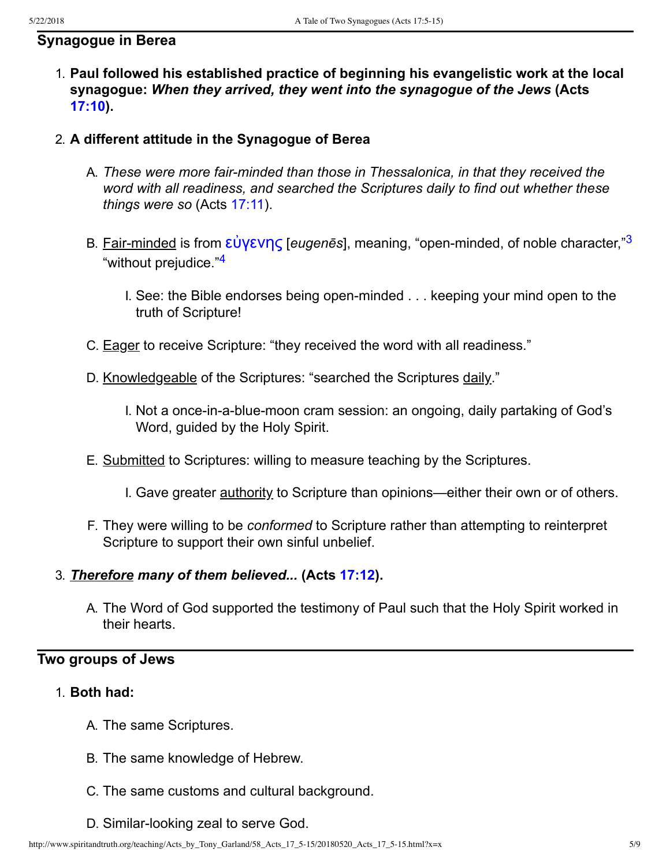#### **Synagogue in Berea**

- 1. **Paul followed his established practice of beginning his evangelistic work at the local synagogue:** *When they arrived, they went into the synagogue of the Jews* **(Acts [17:10](http://www.spiritandtruth.org/bibles/nasb/b44c017.htm#Acts_C17V10)).**
- <span id="page-4-1"></span><span id="page-4-0"></span>2. **A different attitude in the Synagogue of Berea**
	- A. These were more fair-minded than those in Thessalonica, in that they received the *word with all readiness, and searched the Scriptures daily to find out whether these things were so* (Acts [17:11\)](http://www.spiritandtruth.org/bibles/nasb/b44c017.htm#Acts_C17V11).
	- B. Fair-minded is from εὐγενης [*eugenēs*], meaning, "open-minded, of noble character,"<sup>[3](#page-8-4)</sup> "without prejudice."<sup>[4](#page-8-5)</sup>
		- I. See: the Bible endorses being open-minded . . . keeping your mind open to the truth of Scripture!
	- C. Eager to receive Scripture: "they received the word with all readiness."
	- D. Knowledgeable of the Scriptures: "searched the Scriptures daily."
		- I. Not a once-in-a-blue-moon cram session: an ongoing, daily partaking of God's Word, guided by the Holy Spirit.
	- E. Submitted to Scriptures: willing to measure teaching by the Scriptures.
		- I. Gave greater authority to Scripture than opinions—either their own or of others.
	- F. They were willing to be *conformed* to Scripture rather than attempting to reinterpret Scripture to support their own sinful unbelief.

#### 3. *Therefore many of them believed...* **(Acts [17:12\)](http://www.spiritandtruth.org/bibles/nasb/b44c017.htm#Acts_C17V12).**

A. The Word of God supported the testimony of Paul such that the Holy Spirit worked in their hearts.

# **Two groups of Jews**

- 1. **Both had:**
	- A. The same Scriptures.
	- B. The same knowledge of Hebrew.
	- C. The same customs and cultural background.
	- D. Similar-looking zeal to serve God.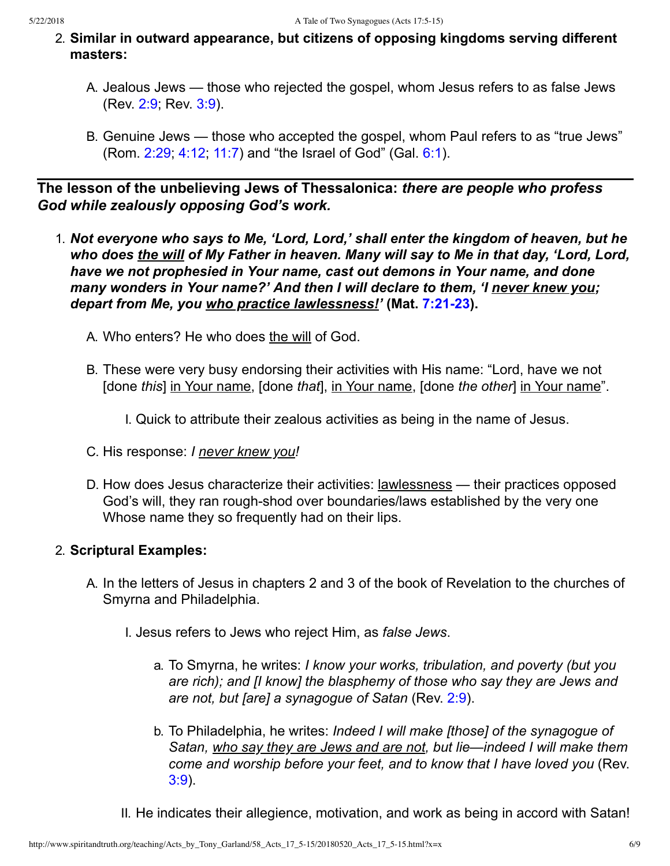- 2. **Similar in outward appearance, but citizens of opposing kingdoms serving different masters:**
	- A. Jealous Jews those who rejected the gospel, whom Jesus refers to as false Jews (Rev. [2:9](http://www.spiritandtruth.org/bibles/nasb/b66c002.htm#Rev._C2V9); Rev. [3:9](http://www.spiritandtruth.org/bibles/nasb/b66c003.htm#Rev._C3V9)).
	- B. Genuine Jews those who accepted the gospel, whom Paul refers to as "true Jews" (Rom. [2:29](http://www.spiritandtruth.org/bibles/nasb/b45c002.htm#Rom._C2V29); [4:12;](http://www.spiritandtruth.org/bibles/nasb/b45c004.htm#Rom._C4V12) [11:7\)](http://www.spiritandtruth.org/bibles/nasb/b45c011.htm#Rom._C11V7) and "the Israel of God" (Gal. [6:1](http://www.spiritandtruth.org/bibles/nasb/b48c006.htm#Gal._C6V1)).

**The lesson of the unbelieving Jews of Thessalonica:** *there are people who profess God while zealously opposing God's work.*

1. *Not everyone who says to Me, 'Lord, Lord,' shall enter the kingdom of heaven, but he who does the will of My Father in heaven. Many will say to Me in that day, 'Lord, Lord, have we not prophesied in Your name, cast out demons in Your name, and done many wonders in Your name?' And then I will declare to them, 'I never knew you; depart from Me, you who practice lawlessness!'* (Mat. 7:21-23).

A. Who enters? He who does the will of God.

B. These were very busy endorsing their activities with His name: "Lord, have we not [done *this*] in Your name, [done *that*], in Your name, [done *the other*] in Your name".

I. Quick to attribute their zealous activities as being in the name of Jesus.

- C. His response: *I never knew you!*
- D. How does Jesus characterize their activities: **lawlessness** their practices opposed God's will, they ran rough-shod over boundaries/laws established by the very one Whose name they so frequently had on their lips.

### 2. **Scriptural Examples:**

- A. In the letters of Jesus in chapters 2 and 3 of the book of Revelation to the churches of Smyrna and Philadelphia.
	- I. Jesus refers to Jews who reject Him, as *false Jews*.
		- a. To Smyrna, he writes: *I know your works, tribulation, and poverty (but you are rich); and [I know] the blasphemy of those who say they are Jews and are not, but [are] a synagogue of Satan* (Rev. [2:9\)](http://www.spiritandtruth.org/bibles/nasb/b66c002.htm#Rev._C2V9).
		- b. To Philadelphia, he writes: *Indeed I will make [those] of the synagogue of Satan, who say they are Jews and are not, but lie—indeed I will make them come and worship before your feet, and to know that I have loved you* (Rev. [3:9](http://www.spiritandtruth.org/bibles/nasb/b66c003.htm#Rev._C3V9)).
	- II. He indicates their allegience, motivation, and work as being in accord with Satan!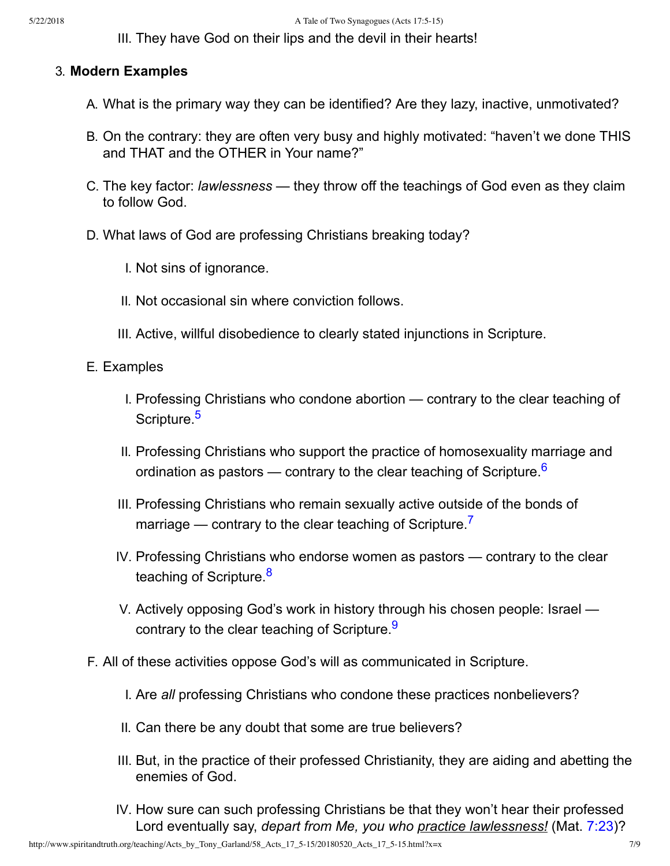III. They have God on their lips and the devil in their hearts!

#### 3. **Modern Examples**

- A. What is the primary way they can be identified? Are they lazy, inactive, unmotivated?
- B. On the contrary: they are often very busy and highly motivated: "haven't we done THIS and THAT and the OTHER in Your name?"
- C. The key factor: *lawlessness* they throw off the teachings of God even as they claim to follow God.
- D. What laws of God are professing Christians breaking today?
	- I. Not sins of ignorance.
	- II. Not occasional sin where conviction follows.
	- III. Active, willful disobedience to clearly stated injunctions in Scripture.
- <span id="page-6-1"></span><span id="page-6-0"></span>E. Examples
	- I. Professing Christians who condone abortion contrary to the clear teaching of Scripture.<sup>[5](#page-8-6)</sup>
	- II. Professing Christians who support the practice of homosexuality marriage and ordination as pastors — contrary to the clear teaching of Scripture.<sup>[6](#page-8-7)</sup>
	- III. Professing Christians who remain sexually active outside of the bonds of marriage — contrary to the clear teaching of Scripture.<sup>[7](#page-8-8)</sup>
	- IV. Professing Christians who endorse women as pastors contrary to the clear teaching of Scripture.<sup>[8](#page-8-9)</sup>
	- V. Actively opposing God's work in history through his chosen people: Israel contrary to the clear teaching of Scripture.<sup>[9](#page-8-10)</sup>
- <span id="page-6-4"></span><span id="page-6-3"></span><span id="page-6-2"></span>F. All of these activities oppose God's will as communicated in Scripture.
	- I. Are *all* professing Christians who condone these practices nonbelievers?
	- II. Can there be any doubt that some are true believers?
	- III. But, in the practice of their professed Christianity, they are aiding and abetting the enemies of God.
	- IV. How sure can such professing Christians be that they won't hear their professed Lord eventually say, *depart from Me, you who practice lawlessness!* (Mat. [7:23\)](http://www.spiritandtruth.org/bibles/nasb/b40c007.htm#Mat._C7V23)?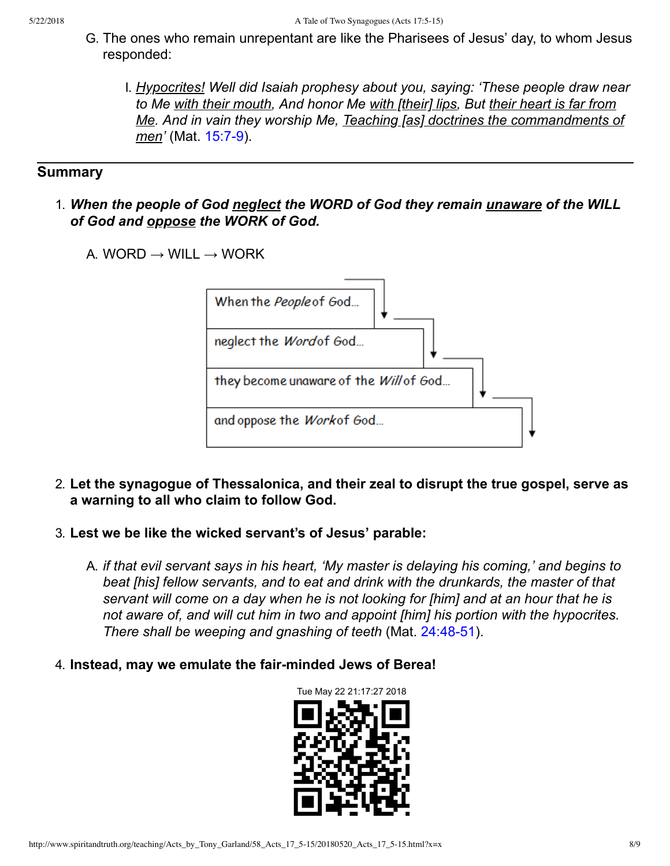- G. The ones who remain unrepentant are like the Pharisees of Jesus' day, to whom Jesus responded:
	- I. *Hypocrites! Well did Isaiah prophesy about you, saying: 'These people draw near to Me with their mouth, And honor Me with [their] lips, But their heart is far from Me. And in vain they worship Me, Teaching [as] doctrines the commandments of men'* (Mat. 15:7-9).

## **Summary**

- 1. *When the people of God neglect the WORD of God they remain unaware of the WILL of God and oppose the WORK of God.*
	- A. WORD  $\rightarrow$  WILL  $\rightarrow$  WORK



- 2. **Let the synagogue of Thessalonica, and their zeal to disrupt the true gospel, serve as a warning to all who claim to follow God.**
- 3. **Lest we be like the wicked servant's of Jesus' parable:**
	- A. *if that evil servant says in his heart, 'My master is delaying his coming,' and begins to beat [his] fellow servants, and to eat and drink with the drunkards, the master of that servant will come on a day when he is not looking for [him] and at an hour that he is not aware of, and will cut him in two and appoint [him] his portion with the hypocrites. There shall be weeping and gnashing of teeth (Mat. 24:48-51).*
- 4. **Instead, may we emulate the fair-minded Jews of Berea!**